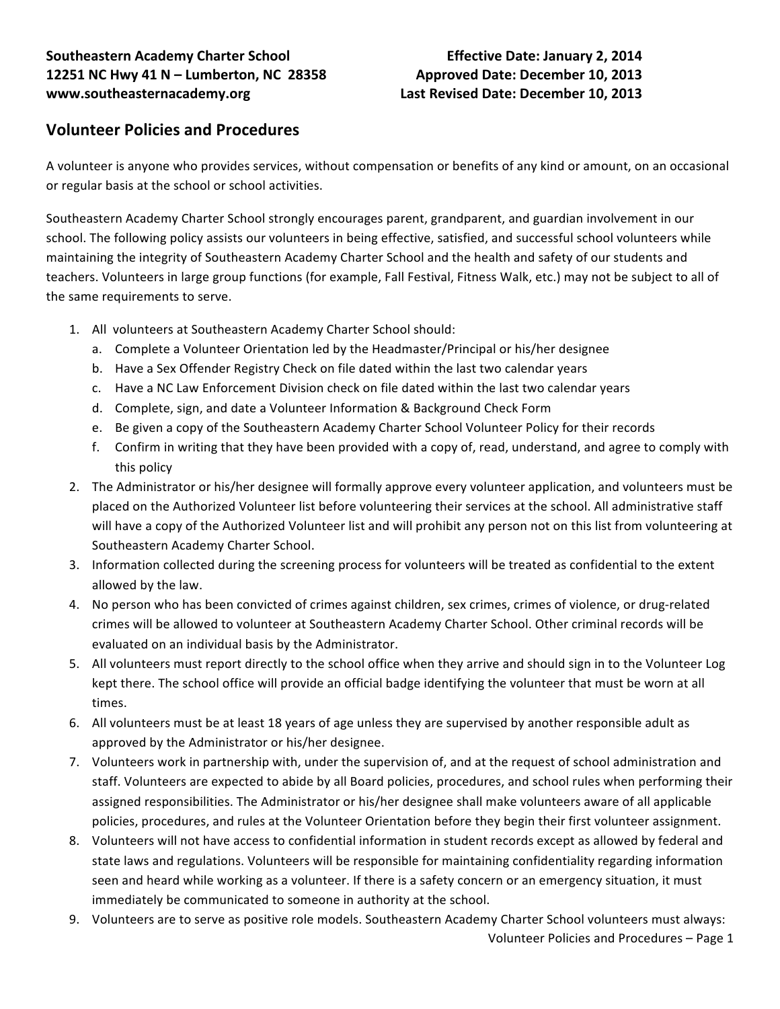## **Southeastern Academy Charter School Effective Date: January 2, 2014 12251 NC Hwy 41 N – Lumberton, NC 28358 Approved Date: December 10, 2013 www.southeasternacademy.org Last Revised Date: December 10, 2013**

# **Volunteer Policies and Procedures**

A volunteer is anyone who provides services, without compensation or benefits of any kind or amount, on an occasional or regular basis at the school or school activities.

Southeastern Academy Charter School strongly encourages parent, grandparent, and guardian involvement in our school. The following policy assists our volunteers in being effective, satisfied, and successful school volunteers while maintaining the integrity of Southeastern Academy Charter School and the health and safety of our students and teachers. Volunteers in large group functions (for example, Fall Festival, Fitness Walk, etc.) may not be subject to all of the same requirements to serve.

- 1. All volunteers at Southeastern Academy Charter School should:
	- a. Complete a Volunteer Orientation led by the Headmaster/Principal or his/her designee
	- b. Have a Sex Offender Registry Check on file dated within the last two calendar years
	- c. Have a NC Law Enforcement Division check on file dated within the last two calendar years
	- d. Complete, sign, and date a Volunteer Information & Background Check Form
	- e. Be given a copy of the Southeastern Academy Charter School Volunteer Policy for their records
	- f. Confirm in writing that they have been provided with a copy of, read, understand, and agree to comply with this policy
- 2. The Administrator or his/her designee will formally approve every volunteer application, and volunteers must be placed on the Authorized Volunteer list before volunteering their services at the school. All administrative staff will have a copy of the Authorized Volunteer list and will prohibit any person not on this list from volunteering at Southeastern Academy Charter School.
- 3. Information collected during the screening process for volunteers will be treated as confidential to the extent allowed by the law.
- 4. No person who has been convicted of crimes against children, sex crimes, crimes of violence, or drug-related crimes will be allowed to volunteer at Southeastern Academy Charter School. Other criminal records will be evaluated on an individual basis by the Administrator.
- 5. All volunteers must report directly to the school office when they arrive and should sign in to the Volunteer Log kept there. The school office will provide an official badge identifying the volunteer that must be worn at all times.
- 6. All volunteers must be at least 18 years of age unless they are supervised by another responsible adult as approved by the Administrator or his/her designee.
- 7. Volunteers work in partnership with, under the supervision of, and at the request of school administration and staff. Volunteers are expected to abide by all Board policies, procedures, and school rules when performing their assigned responsibilities. The Administrator or his/her designee shall make volunteers aware of all applicable policies, procedures, and rules at the Volunteer Orientation before they begin their first volunteer assignment.
- 8. Volunteers will not have access to confidential information in student records except as allowed by federal and state laws and regulations. Volunteers will be responsible for maintaining confidentiality regarding information seen and heard while working as a volunteer. If there is a safety concern or an emergency situation, it must immediately be communicated to someone in authority at the school.
- Volunteer Policies and Procedures Page 1 9. Volunteers are to serve as positive role models. Southeastern Academy Charter School volunteers must always: